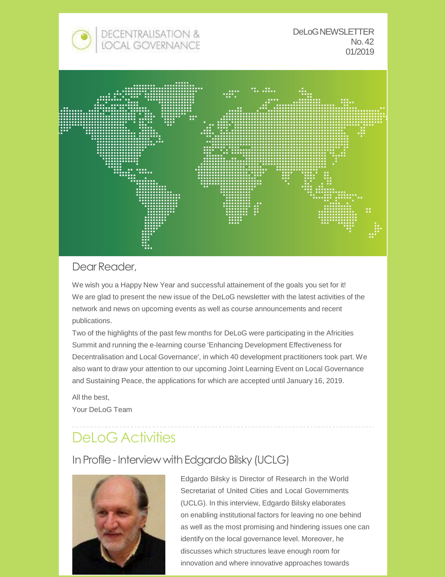



## Dear Reader,

We wish you a Happy New Year and successful attainement of the goals you set for it! We are glad to present the new issue of the DeLoG newsletter with the latest activities of the network and news on upcoming events as well as course announcements and recent publications.

Two of the highlights of the past few months for DeLoG were participating in the Africities Summit and running the e-learning course 'Enhancing Development Effectiveness for Decentralisation and Local Governance', in which 40 development practitioners took part. We also want to draw your attention to our upcoming Joint Learning Event on Local Governance and Sustaining Peace, the applications for which are accepted until January 16, 2019.

All the best, Your DeLoG Team

# DeLoG Activities

## In Profile - Interview with Edgardo Bilsky (UCLG)



Edgardo Bilsky is Director of Research in the World Secretariat of United Cities and Local Governments (UCLG). In this interview, Edgardo Bilsky elaborates on enabling institutional factors for leaving no one behind as well as the most promising and hindering issues one can identify on the local governance level. Moreover, he discusses which structures leave enough room for innovation and where innovative approaches towards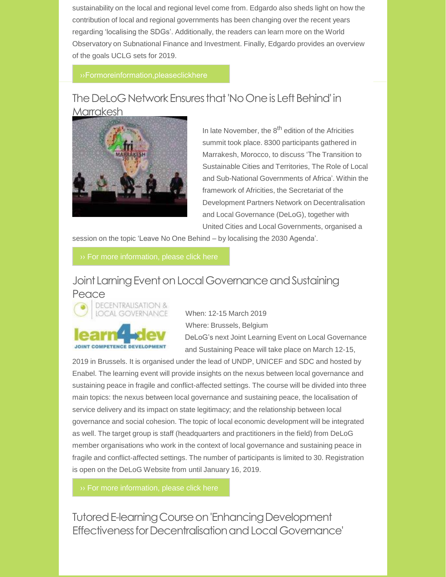sustainability on the local and regional level come from. Edgardo also sheds light on how the contribution of local and regional governments has been changing over the recent years regarding 'localising the SDGs'. Additionally, the readers can learn more on the World Observatory on Subnational Finance and Investment. Finally, Edgardo provides an overview of the goals UCLG sets for 2019.

## The DeLoG Network Ensures that 'No One is Left Behind' in **Marrakesh**



In late November, the 8<sup>th</sup> edition of the Africities summit took place. 8300 participants gathered in Marrakesh, Morocco, to discuss 'The Transition to Sustainable Cities and Territories, The Role of Local and Sub-National Governments of Africa'. Within the framework of Africities, the Secretariat of the Development Partners Network on Decentralisation and Local Governance (DeLoG), together with United Cities and Local Governments, organised a

session on the topic 'Leave No One Behind – by localising the 2030 Agenda'.

## Joint Larning Event on Local Governance and Sustaining Peace



When: 12-15 March 2019 Where: Brussels, Belgium DeLoG's next Joint Learning Event on Local Governance and Sustaining Peace will take place on March 12-15,

2019 in Brussels. It is organised under the lead of UNDP, UNICEF and SDC and hosted by Enabel. The learning event will provide insights on the nexus between local governance and sustaining peace in fragile and conflict-affected settings. The course will be divided into three main topics: the nexus between local governance and sustaining peace, the localisation of service delivery and its impact on state legitimacy; and the relationship between local governance and social cohesion. The topic of local economic development will be integrated as well. The target group is staff (headquarters and practitioners in the field) from DeLoG member organisations who work in the context of local governance and sustaining peace in fragile and conflict-affected settings. The number of participants is limited to 30. Registration is open on the DeLoG Website from until January 16, 2019.

Tutored E-learning Course on 'Enhancing Development EffectivenessforDecentralisationandLocalGovernance'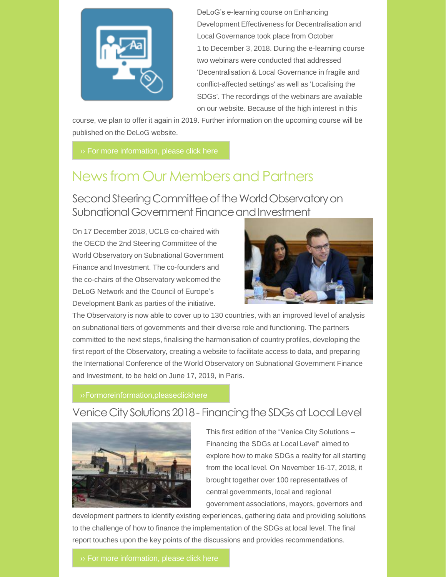

DeLoG's e-learning course on Enhancing Development Effectiveness for Decentralisation and Local Governance took place from October 1 to December 3, 2018. During the e-learning course two webinars were conducted that addressed 'Decentralisation & Local Governance in fragile and conflict-affected settings' as well as 'Localising the SDGs'. The recordings of the webinars are available on our website. Because of the high interest in this

course, we plan to offer it again in 2019. Further information on the upcoming course will be published on the DeLoG website.

# News from Our Members and Partners

Second Steering Committee of the World Observatory on Subnational Government Finance and Investment

On 17 December 2018, UCLG co-chaired with the OECD the 2nd Steering Committee of the World Observatory on Subnational Government Finance and Investment. The co-founders and the co-chairs of the Observatory welcomed the DeLoG Network and the Council of Europe's Development Bank as parties of the initiative.



The Observatory is now able to cover up to 130 countries, with an improved level of analysis on subnational tiers of governments and their diverse role and functioning. The partners committed to the next steps, finalising the harmonisation of country profiles, developing the first report of the Observatory, creating a website to facilitate access to data, and preparing the International Conference of the World Observatory on Subnational Government Finance and Investment, to be held on June 17, 2019, in Paris.

## Venice City Solutions 2018 - Financing the SDGs at Local Level



This first edition of the "Venice City Solutions – Financing the SDGs at Local Level" aimed to explore how to make SDGs a reality for all starting from the local level. On November 16-17, 2018, it brought together over 100 representatives of central governments, local and regional government associations, mayors, governors and

development partners to identify existing experiences, gathering data and providing solutions to the challenge of how to finance the implementation of the SDGs at local level. The final report touches upon the key points of the discussions and provides recommendations.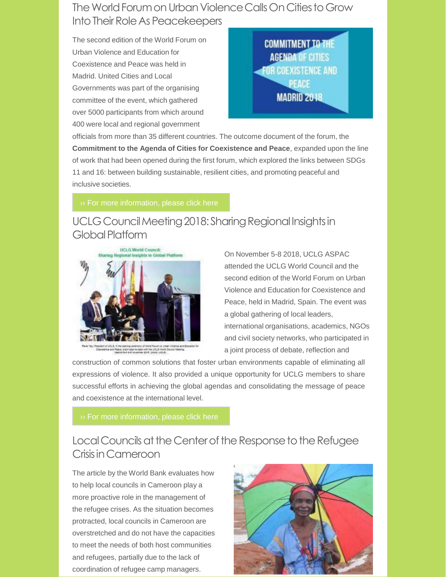## The World Forum on Urban Violence Calls On Cities to Grow Into Their Role As Peacekeepers

The second edition of the World Forum on Urban Violence and Education for Coexistence and Peace was held in Madrid. United Cities and Local Governments was part of the organising committee of the event, which gathered over 5000 participants from which around 400 were local and regional government



officials from more than 35 different countries. The outcome document of the forum, the **Commitment to the Agenda of Cities for Coexistence and Peace**, expanded upon the line of work that had been opened during the first forum, which explored the links between SDGs 11 and 16: between building sustainable, resilient cities, and promoting peaceful and inclusive societies.

## UCLG Council Meeting 2018: Sharing Regional Insights in Global Platform



On November 5-8 2018, UCLG ASPAC attended the UCLG World Council and the second edition of the World Forum on Urban Violence and Education for Coexistence and Peace, held in Madrid, Spain. The event was a global gathering of local leaders, international organisations, academics, NGOs and civil society networks, who participated in a joint process of debate, reflection and

construction of common solutions that foster urban environments capable of eliminating all expressions of violence. It also provided a unique opportunity for UCLG members to share successful efforts in achieving the global agendas and consolidating the message of peace and coexistence at the international level.

## Local Councils at the Center of the Response to the Refugee CrisisinCameroon

The article by the World Bank evaluates how to help local councils in Cameroon play a more proactive role in the management of the refugee crises. As the situation becomes protracted, local councils in Cameroon are overstretched and do not have the capacities to meet the needs of both host communities and refugees, partially due to the lack of coordination of refugee camp managers.

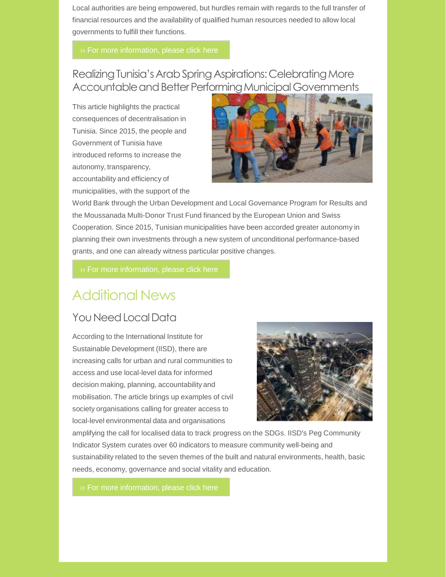Local authorities are being empowered, but hurdles remain with regards to the full transfer of financial resources and the availability of qualified human resources needed to allow local governments to fulfill their functions.

Realizing Tunisia's Arab Spring Aspirations: Celebrating More Accountable and Better Performing Municipal Governments

This article highlights the practical consequences of decentralisation in Tunisia. Since 2015, the people and Government of Tunisia have introduced reforms to increase the autonomy, transparency, accountability and efficiency of municipalities, with the support of the



World Bank through the Urban Development and Local Governance Program for Results and the Moussanada Multi-Donor Trust Fund financed by the European Union and Swiss Cooperation. Since 2015, Tunisian municipalities have been accorded greater autonomy in planning their own investments through a new system of unconditional performance-based grants, and one can already witness particular positive changes.

# Additional News

## You Need Local Data

According to the International Institute for Sustainable Development (IISD), there are increasing calls for urban and rural communities to access and use local-level data for informed decision making, planning, accountability and mobilisation. The article brings up examples of civil society organisations calling for greater access to local-level environmental data and organisations



amplifying the call for localised data to track progress on the SDGs. IISD's Peg Community Indicator System curates over 60 indicators to measure community well-being and sustainability related to the seven themes of the built and natural environments, health, basic needs, economy, governance and social vitality and education.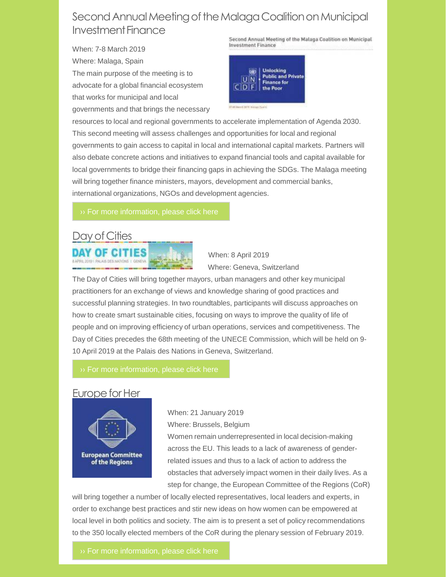## Second Annual Meeting of the Malaga Coalition on Municipal Investment Finance

When: 7-8 March 2019 Where: Malaga, Spain The main purpose of the meeting is to advocate for a global financial ecosystem that works for municipal and local governments and that brings the necessary Second Annual Meeting of the Malaga Coalition on Municipal **Investment Finance** 



resources to local and regional governments to accelerate implementation of Agenda 2030. This second meeting will assess challenges and opportunities for local and regional governments to gain access to capital in local and international capital markets. Partners will also debate concrete actions and initiatives to expand financial tools and capital available for local governments to bridge their financing gaps in achieving the SDGs. The Malaga meeting will bring together finance ministers, mayors, development and commercial banks, international organizations, NGOs and development agencies.

# Day of Cities



When: 8 April 2019 Where: Geneva, Switzerland

The Day of Cities will bring together mayors, urban managers and other key municipal practitioners for an exchange of views and knowledge sharing of good practices and successful planning strategies. In two roundtables, participants will discuss approaches on how to create smart sustainable cities, focusing on ways to improve the quality of life of people and on improving efficiency of urban operations, services and competitiveness. The Day of Cities precedes the 68th meeting of the UNECE Commission, which will be held on 9- 10 April 2019 at the Palais des Nations in Geneva, Switzerland.

## Europe for Her



When: 21 January 2019 Where: Brussels, Belgium

Women remain underrepresented in local decision-making across the EU. This leads to a lack of awareness of genderrelated issues and thus to a lack of action to address the obstacles that adversely impact women in their daily lives. As a step for change, the European Committee of the Regions (CoR)

will bring together a number of locally elected representatives, local leaders and experts, in order to exchange best practices and stir new ideas on how women can be empowered at local level in both politics and society. The aim is to present a set of policy recommendations to the 350 locally elected members of the CoR during the plenary session of February 2019.

›› For more [information,](https://cor.europa.eu/en/events/Pages/europe-for-her.aspx) please click here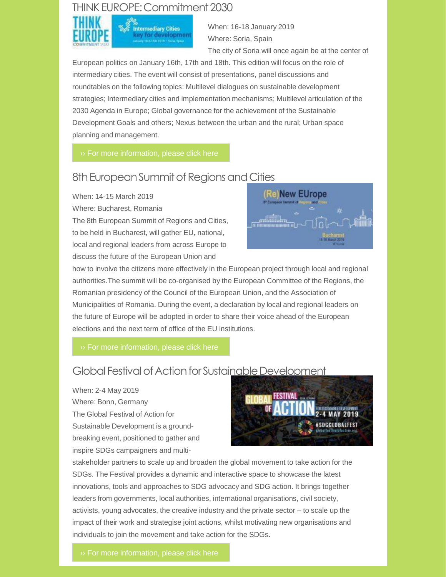## THINK EUROPE: Commitment 2030



When: 16-18 January 2019 Where: Soria, Spain The city of Soria will once again be at the center of

European politics on January 16th, 17th and 18th. This edition will focus on the role of intermediary cities. The event will consist of presentations, panel discussions and roundtables on the following topics: Multilevel dialogues on sustainable development strategies; Intermediary cities and implementation mechanisms; Multilevel articulation of the 2030 Agenda in Europe; Global governance for the achievement of the Sustainable Development Goals and others; Nexus between the urban and the rural; Urban space planning and management.

## 8th European Summit of Regions and Cities

When: 14-15 March 2019

Where: Bucharest, Romania

The 8th European Summit of Regions and Cities, to be held in Bucharest, will gather EU, national, local and regional leaders from across Europe to discuss the future of the European Union and



how to involve the citizens more effectively in the European project through local and regional authorities.The summit will be co-organised by the European Committee of the Regions, the Romanian presidency of the Council of the European Union, and the Association of Municipalities of Romania. During the event, a declaration by local and regional leaders on the future of Europe will be adopted in order to share their voice ahead of the European elections and the next term of office of the EU institutions.

 $\rightarrow$  For more [information,](https://cor.europa.eu/en/events/Pages/summits.aspx) please click here

## Global Festival of Action for Sustainable Development

### When: 2-4 May 2019

Where: Bonn, Germany The Global Festival of Action for Sustainable Development is a groundbreaking event, positioned to gather and inspire SDGs campaigners and multi-



stakeholder partners to scale up and broaden the global movement to take action for the SDGs. The Festival provides a dynamic and interactive space to showcase the latest innovations, tools and approaches to SDG advocacy and SDG action. It brings together leaders from governments, local authorities, international organisations, civil society, activists, young advocates, the creative industry and the private sector – to scale up the impact of their work and strategise joint actions, whilst motivating new organisations and individuals to join the movement and take action for the SDGs.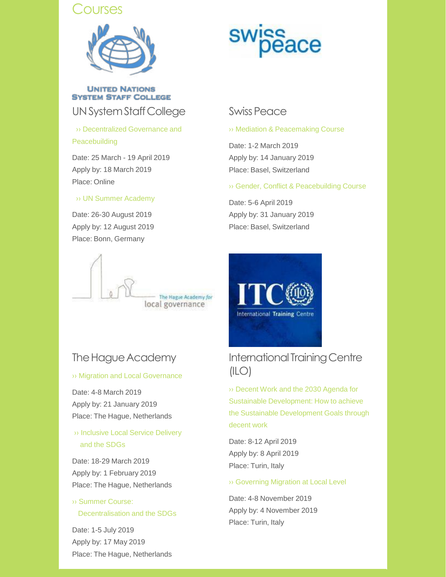## *<u>Courses</u>*



**UNITED NATIONS SYSTEM STAFF COLLEGE** 

UN System Staff College Swiss Peace

›› Decentralized Governance and [Peacebuilding](https://www.unssc.org/courses/decentralized-governance-and-peacebuilding-march/)

Date: 25 March - 19 April 2019 Apply by: 18 March 2019 Place: Online

### ›› UN Summer [Academy](https://www.unssc.org/courses/un-summer-academy-0/)

Date: 26-30 August 2019 Apply by: 12 August 2019 Place: Bonn, Germany



## The Hague Academy

### ›› Migration and Local [Governance](https://thehagueacademy.com/blog/2018/04/migration-local-governance/)

Date: 4-8 March 2019 Apply by: 21 January 2019 Place: The Hague, Netherlands

## ›› [Inclusive](https://thehagueacademy.com/blog/2018/04/inclusive-service-delivery-the-sdgs/) Local Service Delivery and the SDGs

Date: 18-29 March 2019 Apply by: 1 February 2019 Place: The Hague, Netherlands

## ›› Summer Course: [Decentralisation](https://thehagueacademy.com/blog/2017/03/summercourse-sustainable-development-goals-2018/) and the SDGs

Date: 1-5 July 2019 Apply by: 17 May 2019 Place: The Hague, Netherlands

›› Mediation & [Peacemaking](https://www.swisspeace.ch/continuing-education/postgraduate-courses/mediation-peacemaking-course) Course

Date: 1-2 March 2019 Apply by: 14 January 2019 Place: Basel, Switzerland

›› Gender, Conflict & [Peacebuilding](https://www.swisspeace.ch/assets/courses/flyers/9437c930c5/Flyer_gender.pdf) Course

Date: 5-6 April 2019 Apply by: 31 January 2019 Place: Basel, Switzerland



## International Training Centre  $(ILO)$

›› Decent Work and the 2030 Agenda for Sustainable [Development:](https://www.ilo.org/global/topics/green-jobs/events-training/WCMS_625840/lang--en/index.htm) How to achieve the Sustainable Development Goals through decent work

Date: 8-12 April 2019 Apply by: 8 April 2019 Place: Turin, Italy

### ›› [Governing](https://www.itcilo.org/courses/governing-migration-local-level) Migration at Local Level

Date: 4-8 November 2019 Apply by: 4 November 2019 Place: Turin, Italy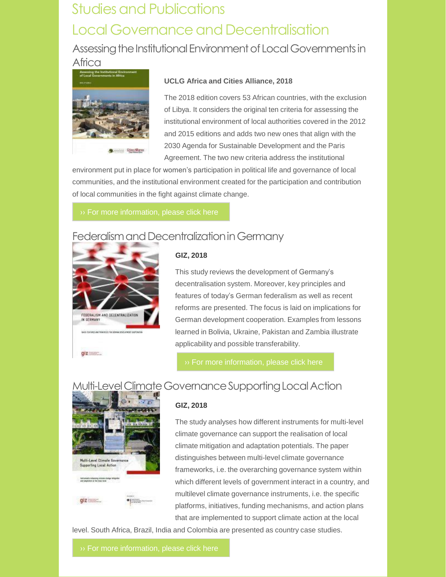# **Studies and Publications** Local Governance and Decentralisation

Assessing the Institutional Environment of Local Governments in Africa



### **UCLG Africa and Cities Alliance, 2018**

The 2018 edition covers 53 African countries, with the exclusion of Libya. It considers the original ten criteria for assessing the institutional environment of local authorities covered in the 2012 and 2015 editions and adds two new ones that align with the 2030 Agenda for Sustainable Development and the Paris Agreement. The two new criteria address the institutional

environment put in place for women's participation in political life and governance of local communities, and the institutional environment created for the participation and contribution of local communities in the fight against climate change.

## Federalism and Decentralization in Germany



### **GIZ, 2018**

This study reviews the development of Germany's decentralisation system. Moreover, key principles and features of today's German federalism as well as recent reforms are presented. The focus is laid on implications for German development cooperation. Examples from lessons learned in Bolivia, Ukraine, Pakistan and Zambia illustrate applicability and possible transferability.

## Multi-Level Climate Governance Supporting Local Action



**GIZ, 2018**

The study analyses how different instruments for multi-level climate governance can support the realisation of local climate mitigation and adaptation potentials. The paper distinguishes between multi-level climate governance frameworks, i.e. the overarching governance system within which different levels of government interact in a country, and multilevel climate governance instruments, i.e. the specific platforms, initiatives, funding mechanisms, and action plans that are implemented to support climate action at the local

level. South Africa, Brazil, India and Colombia are presented as country case studies.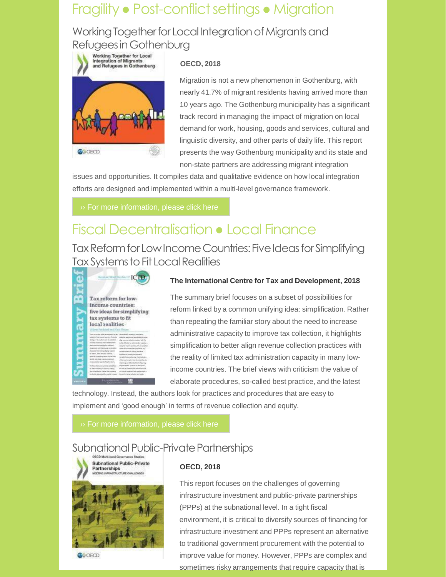# Fragility • Post-conflict settings • Migration

## Working Together for Local Integration of Migrants and RefugeesinGothenburg



### **OECD, 2018**

Migration is not a new phenomenon in Gothenburg, with nearly 41.7% of migrant residents having arrived more than 10 years ago. The Gothenburg municipality has a significant track record in managing the impact of migration on local demand for work, housing, goods and services, cultural and linguistic diversity, and other parts of daily life. This report presents the way Gothenburg municipality and its state and non-state partners are addressing migrant integration

issues and opportunities. It compiles data and qualitative evidence on how local integration efforts are designed and implemented within a multi-level governance framework.

# Fiscal Decentralisation ● Local Finance

Tax Reform for Low Income Countries: Five Ideas for Simplifying Tax Systems to Fit Local Realities



### **The International Centre for Tax and Development, 2018**

The summary brief focuses on a subset of possibilities for reform linked by a common unifying idea: simplification. Rather than repeating the familiar story about the need to increase administrative capacity to improve tax collection, it highlights simplification to better align revenue collection practices with the reality of limited tax administration capacity in many lowincome countries. The brief views with criticism the value of elaborate procedures, so-called best practice, and the latest

technology. Instead, the authors look for practices and procedures that are easy to implement and 'good enough' in terms of revenue collection and equity.

## Subnational Public-Private Partnerships



**OW OECD** 

### **OECD, 2018**

This report focuses on the challenges of governing infrastructure investment and public-private partnerships (PPPs) at the subnational level. In a tight fiscal environment, it is critical to diversify sources of financing for infrastructure investment and PPPs represent an alternative to traditional government procurement with the potential to improve value for money. However, PPPs are complex and sometimes risky arrangements that require capacity that is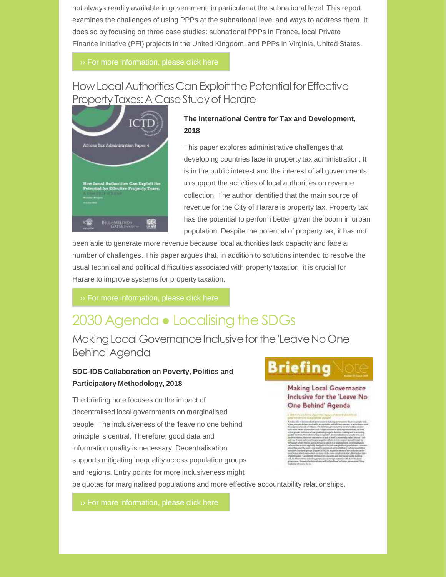not always readily available in government, in particular at the subnational level. This report examines the challenges of using PPPs at the subnational level and ways to address them. It does so by focusing on three case studies: subnational PPPs in France, local Private Finance Initiative (PFI) projects in the United Kingdom, and PPPs in Virginia, United States.

›› For more [information,](https://www.oecd-ilibrary.org/docserver/9789264304864-en.pdf?expires=1576504640&id=id&accname=ocid56027132&checksum=1999656D0AE3E4516762D3183A63FE2B) please click here

## How Local Authorities Can Exploit the Potential for Effective Property Taxes: A Case Study of Harare



### **The International Centre for Tax and Development, 2018**

This paper explores administrative challenges that developing countries face in property tax administration. It is in the public interest and the interest of all governments to support the activities of local authorities on revenue collection. The author identified that the main source of revenue for the City of Harare is property tax. Property tax has the potential to perform better given the boom in urban population. Despite the potential of property tax, it has not

been able to generate more revenue because local authorities lack capacity and face a number of challenges. This paper argues that, in addition to solutions intended to resolve the usual technical and political difficulties associated with property taxation, it is crucial for Harare to improve systems for property taxation.

 $\rightarrow$  For more [information,](https://opendocs.ids.ac.uk/opendocs/bitstream/handle/20.500.12413/14087/ATAP4.pdf?sequence=1&isAllowed=y) please click here

# 2030 Agenda • Localising the SDGs

Making Local Governance Inclusive for the 'Leave No One Behind'Agenda

### **SDC-IDS Collaboration on Poverty, Politics and Participatory Methodology, 2018**

The briefing note focuses on the impact of decentralised local governments on marginalised people. The inclusiveness of the 'leave no one behind' principle is central. Therefore, good data and information quality is necessary. Decentralisation supports mitigating inequality across population groups and regions. Entry points for more inclusiveness might be quotas for marginalised populations and more effective accountability relationships.

# **Briefing**

**Making Local Governance** Inclusive for the 'Leave No One Behind' Agenda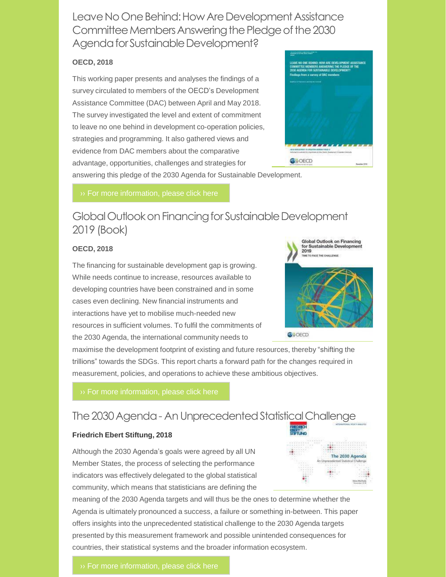Leave No One Behind: How Are Development Assistance Committee Members Answering the Pledge of the 2030 Agenda for Sustainable Development?

### **OECD, 2018**

This working paper presents and analyses the findings of a survey circulated to members of the OECD's Development Assistance Committee (DAC) between April and May 2018. The survey investigated the level and extent of commitment to leave no one behind in development co-operation policies, strategies and programming. It also gathered views and evidence from DAC members about the comparative advantage, opportunities, challenges and strategies for



answering this pledge of the 2030 Agenda for Sustainable Development.

## Global Outlook on Financing for Sustainable Development 2019 (Book)

### **OECD, 2018**

The financing for sustainable development gap is growing. While needs continue to increase, resources available to developing countries have been constrained and in some cases even declining. New financial instruments and interactions have yet to mobilise much-needed new resources in sufficient volumes. To fulfil the commitments of the 2030 Agenda, the international community needs to



**O**>>OECD

maximise the development footprint of existing and future resources, thereby "shifting the trillions" towards the SDGs. This report charts a forward path for the changes required in measurement, policies, and operations to achieve these ambitious objectives.

## The 2030 Agenda - An Unprecedented Statistical Challenge

### **Friedrich Ebert Stiftung, 2018**

Although the 2030 Agenda's goals were agreed by all UN Member States, the process of selecting the performance indicators was effectively delegated to the global statistical community, which means that statisticians are defining the

meaning of the 2030 Agenda targets and will thus be the ones to determine whether the Agenda is ultimately pronounced a success, a failure or something in-between. This paper offers insights into the unprecedented statistical challenge to the 2030 Agenda targets presented by this measurement framework and possible unintended consequences for countries, their statistical systems and the broader information ecosystem.

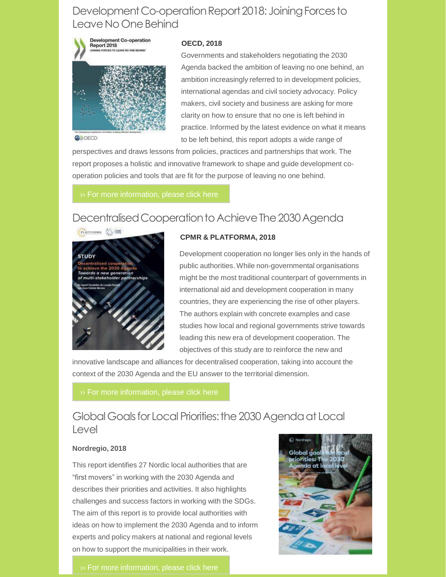## Development Co-operation Report 2018: Joining Forces to Leave No One Behind



**OW** OECD

### **OECD, 2018**

Governments and stakeholders negotiating the 2030 Agenda backed the ambition of leaving no one behind, an ambition increasingly referred to in development policies, international agendas and civil society advocacy. Policy makers, civil society and business are asking for more clarity on how to ensure that no one is left behind in practice. Informed by the latest evidence on what it means to be left behind, this report adopts a wide range of

perspectives and draws lessons from policies, practices and partnerships that work. The report proposes a holistic and innovative framework to shape and guide development cooperation policies and tools that are fit for the purpose of leaving no one behind.

## Decentralised Cooperation to Achieve The 2030 Agenda



### **CPMR & PLATFORMA, 2018**

Development cooperation no longer lies only in the hands of public authorities. While non-governmental organisations might be the most traditional counterpart of governments in international aid and development cooperation in many countries, they are experiencing the rise of other players. The authors explain with concrete examples and case studies how local and regional governments strive towards leading this new era of development cooperation. The objectives of this study are to reinforce the new and

innovative landscape and alliances for decentralised cooperation, taking into account the context of the 2030 Agenda and the EU answer to the territorial dimension.

## Global Goals for Local Priorities: the 2030 Agenda at Local Level

### **Nordregio, 2018**

This report identifies 27 Nordic local authorities that are "first movers" in working with the 2030 Agenda and describes their priorities and activities. It also highlights challenges and success factors in working with the SDGs. The aim of this report is to provide local authorities with ideas on how to implement the 2030 Agenda and to inform experts and policy makers at national and regional levels on how to support the municipalities in their work.



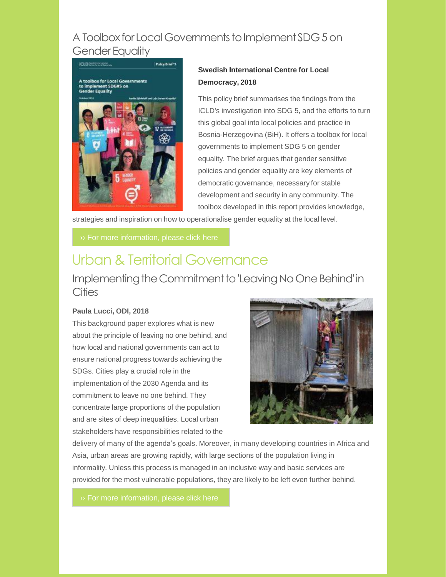## A Toolbox for Local Governments to Implement SDG 5 on **Gender Equality**



### **Swedish International Centre for Local Democracy, 2018**

This policy brief summarises the findings from the ICLD's investigation into SDG 5, and the efforts to turn this global goal into local policies and practice in Bosnia-Herzegovina (BiH). It offers a toolbox for local governments to implement SDG 5 on gender equality. The brief argues that gender sensitive policies and gender equality are key elements of democratic governance, necessary for stable development and security in any community. The toolbox developed in this report provides knowledge,

strategies and inspiration on how to operationalise gender equality at the local level.

# Urban & Territorial Governance

## Implementing the Commitment to 'Leaving No One Behind' in **Cities**

### **Paula Lucci, ODI, 2018**

This background paper explores what is new about the principle of leaving no one behind, and how local and national governments can act to ensure national progress towards achieving the SDGs. Cities play a crucial role in the implementation of the 2030 Agenda and its commitment to leave no one behind. They concentrate large proportions of the population and are sites of deep inequalities. Local urban stakeholders have responsibilities related to the



delivery of many of the agenda's goals. Moreover, in many developing countries in Africa and Asia, urban areas are growing rapidly, with large sections of the population living in informality. Unless this process is managed in an inclusive way and basic services are provided for the most vulnerable populations, they are likely to be left even further behind.

›› For more [information,](https://www.odi.org/publications/11255-implementing-commitment-leaving-no-one-behind-cities-what-it-means-practice) please click here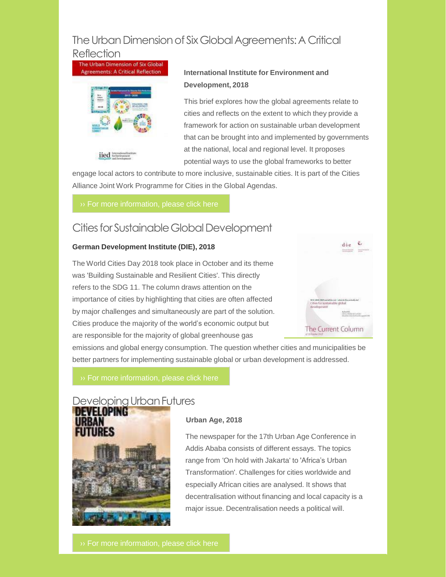## The Urban Dimension of Six Global Agreements: A Critical

Reflection<br>The Urban Dimension of Six Global greements: A Critical Reflection



### **International Institute for Environment and Development, 2018**

This brief explores how the global agreements relate to cities and reflects on the extent to which they provide a framework for action on sustainable urban development that can be brought into and implemented by governments at the national, local and regional level. It proposes potential ways to use the global frameworks to better

engage local actors to contribute to more inclusive, sustainable cities. It is part of the Cities Alliance Joint Work Programme for Cities in the Global Agendas.

## Cities for Sustainable Global Development

### **German Development Institute (DIE), 2018**

The World Cities Day 2018 took place in October and its theme was 'Building Sustainable and Resilient Cities'. This directly refers to the SDG 11. The column draws attention on the importance of cities by highlighting that cities are often affected by major challenges and simultaneously are part of the solution. Cities produce the majority of the world's economic output but are responsible for the majority of global greenhouse gas



emissions and global energy consumption. The question whether cities and municipalities be better partners for implementing sustainable global or urban development is addressed.

## Developing Urban Futures



### **Urban Age, 2018**

The newspaper for the 17th Urban Age Conference in Addis Ababa consists of different essays. The topics range from 'On hold with Jakarta' to 'Africa's Urban Transformation'. Challenges for cities worldwide and especially African cities are analysed. It shows that decentralisation without financing and local capacity is a major issue. Decentralisation needs a political will.